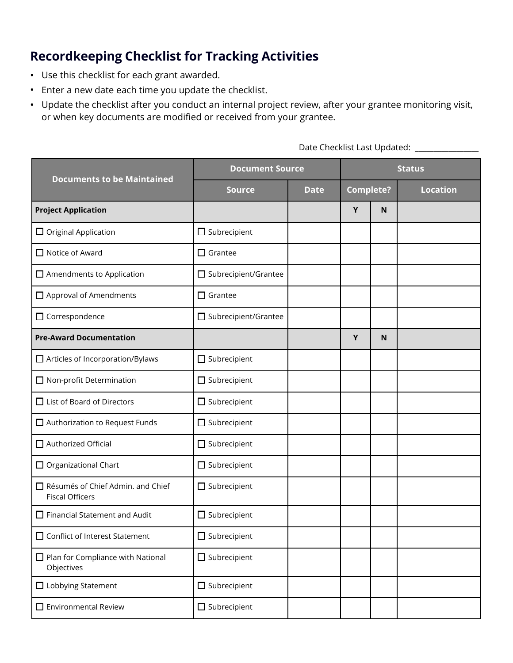## **Recordkeeping Checklist for Tracking Activities**

- Use this checklist for each grant awarded.
- Enter a new date each time you update the checklist.
- Update the checklist after you conduct an internal project review, after your grantee monitoring visit, or when key documents are modified or received from your grantee.

| <b>Documents to be Maintained</b>                           | <b>Document Source</b>      |             | <b>Status</b>    |   |                 |  |
|-------------------------------------------------------------|-----------------------------|-------------|------------------|---|-----------------|--|
|                                                             | <b>Source</b>               | <b>Date</b> | <b>Complete?</b> |   | <b>Location</b> |  |
| <b>Project Application</b>                                  |                             |             | Y                | N |                 |  |
| $\Box$ Original Application                                 | $\Box$ Subrecipient         |             |                  |   |                 |  |
| $\Box$ Notice of Award                                      | $\Box$ Grantee              |             |                  |   |                 |  |
| $\Box$ Amendments to Application                            | □ Subrecipient/Grantee      |             |                  |   |                 |  |
| $\Box$ Approval of Amendments                               | $\Box$ Grantee              |             |                  |   |                 |  |
| $\Box$ Correspondence                                       | $\Box$ Subrecipient/Grantee |             |                  |   |                 |  |
| <b>Pre-Award Documentation</b>                              |                             |             | Y                | N |                 |  |
| $\Box$ Articles of Incorporation/Bylaws                     | $\Box$ Subrecipient         |             |                  |   |                 |  |
| $\Box$ Non-profit Determination                             | $\Box$ Subrecipient         |             |                  |   |                 |  |
| $\Box$ List of Board of Directors                           | $\Box$ Subrecipient         |             |                  |   |                 |  |
| $\Box$ Authorization to Request Funds                       | $\Box$ Subrecipient         |             |                  |   |                 |  |
| $\Box$ Authorized Official                                  | $\Box$ Subrecipient         |             |                  |   |                 |  |
| $\Box$ Organizational Chart                                 | $\Box$ Subrecipient         |             |                  |   |                 |  |
| Résumés of Chief Admin. and Chief<br><b>Fiscal Officers</b> | $\Box$ Subrecipient         |             |                  |   |                 |  |
| $\Box$ Financial Statement and Audit                        | $\Box$ Subrecipient         |             |                  |   |                 |  |
| □ Conflict of Interest Statement                            | $\Box$ Subrecipient         |             |                  |   |                 |  |
| $\Box$ Plan for Compliance with National<br>Objectives      | $\Box$ Subrecipient         |             |                  |   |                 |  |
| $\Box$ Lobbying Statement                                   | $\Box$ Subrecipient         |             |                  |   |                 |  |
| $\Box$ Environmental Review                                 | $\Box$ Subrecipient         |             |                  |   |                 |  |

Date Checklist Last Updated: \_\_\_\_\_\_\_\_\_\_\_\_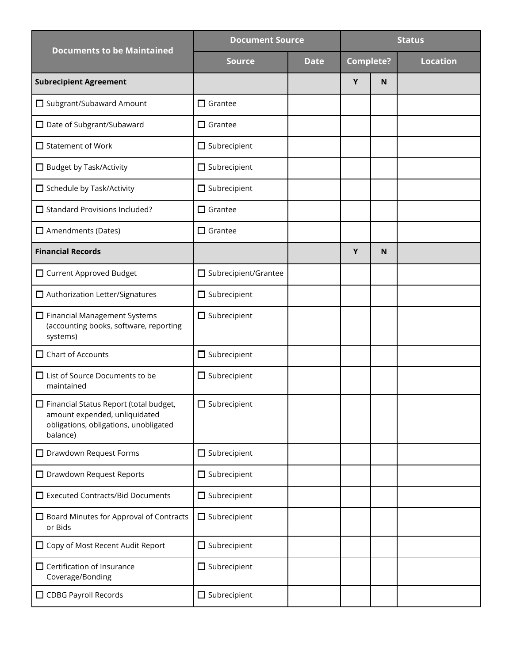| <b>Documents to be Maintained</b>                                                                                                   | <b>Document Source</b>      |             | <b>Status</b>    |   |                 |
|-------------------------------------------------------------------------------------------------------------------------------------|-----------------------------|-------------|------------------|---|-----------------|
|                                                                                                                                     | <b>Source</b>               | <b>Date</b> | <b>Complete?</b> |   | <b>Location</b> |
| <b>Subrecipient Agreement</b>                                                                                                       |                             |             | Υ                | N |                 |
| □ Subgrant/Subaward Amount                                                                                                          | $\Box$ Grantee              |             |                  |   |                 |
| □ Date of Subgrant/Subaward                                                                                                         | $\Box$ Grantee              |             |                  |   |                 |
| $\Box$ Statement of Work                                                                                                            | $\Box$ Subrecipient         |             |                  |   |                 |
| $\Box$ Budget by Task/Activity                                                                                                      | $\Box$ Subrecipient         |             |                  |   |                 |
| □ Schedule by Task/Activity                                                                                                         | $\Box$ Subrecipient         |             |                  |   |                 |
| $\Box$ Standard Provisions Included?                                                                                                | $\Box$ Grantee              |             |                  |   |                 |
| $\Box$ Amendments (Dates)                                                                                                           | $\Box$ Grantee              |             |                  |   |                 |
| <b>Financial Records</b>                                                                                                            |                             |             | Y                | N |                 |
| $\Box$ Current Approved Budget                                                                                                      | $\Box$ Subrecipient/Grantee |             |                  |   |                 |
| □ Authorization Letter/Signatures                                                                                                   | $\Box$ Subrecipient         |             |                  |   |                 |
| $\Box$ Financial Management Systems<br>(accounting books, software, reporting<br>systems)                                           | $\Box$ Subrecipient         |             |                  |   |                 |
| $\Box$ Chart of Accounts                                                                                                            | $\Box$ Subrecipient         |             |                  |   |                 |
| $\Box$ List of Source Documents to be<br>maintained                                                                                 | $\Box$ Subrecipient         |             |                  |   |                 |
| $\Box$ Financial Status Report (total budget,<br>amount expended, unliquidated<br>obligations, obligations, unobligated<br>balance) | $\Box$ Subrecipient         |             |                  |   |                 |
| $\Box$ Drawdown Request Forms                                                                                                       | $\Box$ Subrecipient         |             |                  |   |                 |
| $\Box$ Drawdown Request Reports                                                                                                     | $\Box$ Subrecipient         |             |                  |   |                 |
| □ Executed Contracts/Bid Documents                                                                                                  | $\Box$ Subrecipient         |             |                  |   |                 |
| $\Box$ Board Minutes for Approval of Contracts<br>or Bids                                                                           | $\Box$ Subrecipient         |             |                  |   |                 |
| □ Copy of Most Recent Audit Report                                                                                                  | $\Box$ Subrecipient         |             |                  |   |                 |
| $\Box$ Certification of Insurance<br>Coverage/Bonding                                                                               | $\Box$ Subrecipient         |             |                  |   |                 |
| $\Box$ CDBG Payroll Records                                                                                                         | $\Box$ Subrecipient         |             |                  |   |                 |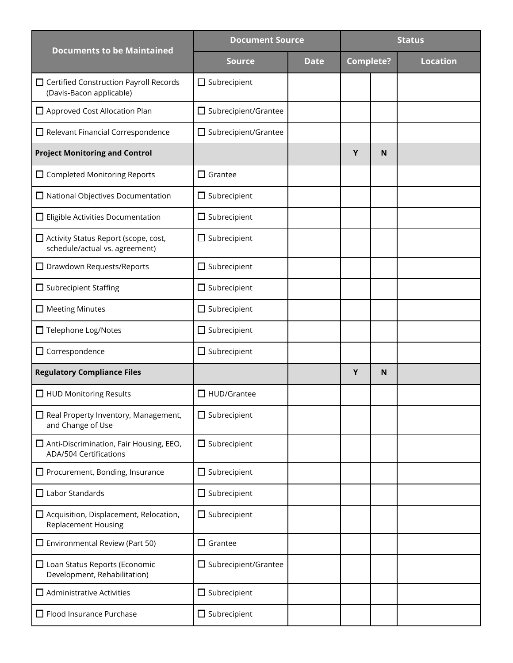| <b>Documents to be Maintained</b>                                               | <b>Document Source</b>      |             | <b>Status</b>    |   |                 |
|---------------------------------------------------------------------------------|-----------------------------|-------------|------------------|---|-----------------|
|                                                                                 | <b>Source</b>               | <b>Date</b> | <b>Complete?</b> |   | <b>Location</b> |
| $\Box$ Certified Construction Payroll Records<br>(Davis-Bacon applicable)       | $\Box$ Subrecipient         |             |                  |   |                 |
| Approved Cost Allocation Plan                                                   | □ Subrecipient/Grantee      |             |                  |   |                 |
| $\Box$ Relevant Financial Correspondence                                        | $\Box$ Subrecipient/Grantee |             |                  |   |                 |
| <b>Project Monitoring and Control</b>                                           |                             |             | Y                | N |                 |
| $\Box$ Completed Monitoring Reports                                             | $\Box$ Grantee              |             |                  |   |                 |
| $\Box$ National Objectives Documentation                                        | $\Box$ Subrecipient         |             |                  |   |                 |
| $\Box$ Eligible Activities Documentation                                        | $\Box$ Subrecipient         |             |                  |   |                 |
| □ Activity Status Report (scope, cost,<br>schedule/actual vs. agreement)        | $\Box$ Subrecipient         |             |                  |   |                 |
| $\Box$ Drawdown Requests/Reports                                                | $\Box$ Subrecipient         |             |                  |   |                 |
| $\Box$ Subrecipient Staffing                                                    | $\Box$ Subrecipient         |             |                  |   |                 |
| $\Box$ Meeting Minutes                                                          | $\Box$ Subrecipient         |             |                  |   |                 |
| □ Telephone Log/Notes                                                           | $\Box$ Subrecipient         |             |                  |   |                 |
| $\Box$ Correspondence                                                           | $\Box$ Subrecipient         |             |                  |   |                 |
| <b>Regulatory Compliance Files</b>                                              |                             |             | Y                | N |                 |
| $\Box$ HUD Monitoring Results                                                   | $\Box$ HUD/Grantee          |             |                  |   |                 |
| $\Box$ Real Property Inventory, Management,<br>and Change of Use                | $\Box$ Subrecipient         |             |                  |   |                 |
| $\Box$ Anti-Discrimination, Fair Housing, EEO,<br><b>ADA/504 Certifications</b> | $\Box$ Subrecipient         |             |                  |   |                 |
| $\Box$ Procurement, Bonding, Insurance                                          | $\Box$ Subrecipient         |             |                  |   |                 |
| $\Box$ Labor Standards                                                          | $\Box$ Subrecipient         |             |                  |   |                 |
| $\Box$ Acquisition, Displacement, Relocation,<br><b>Replacement Housing</b>     | $\Box$ Subrecipient         |             |                  |   |                 |
| $\Box$ Environmental Review (Part 50)                                           | $\Box$ Grantee              |             |                  |   |                 |
| $\Box$ Loan Status Reports (Economic<br>Development, Rehabilitation)            | $\Box$ Subrecipient/Grantee |             |                  |   |                 |
| $\Box$ Administrative Activities                                                | $\Box$ Subrecipient         |             |                  |   |                 |
| $\Box$ Flood Insurance Purchase                                                 | $\Box$ Subrecipient         |             |                  |   |                 |